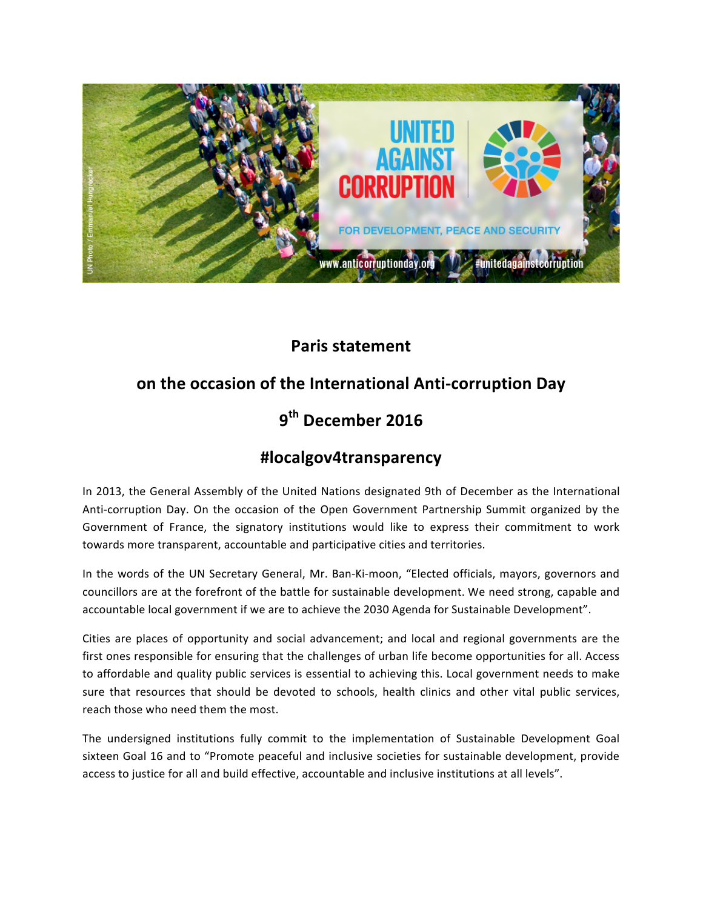

### **Paris statement**

## on the occasion of the International Anti-corruption Day

# **9 th December 2016**

## **#localgov4transparency**

In 2013, the General Assembly of the United Nations designated 9th of December as the International Anti-corruption Day. On the occasion of the Open Government Partnership Summit organized by the Government of France, the signatory institutions would like to express their commitment to work towards more transparent, accountable and participative cities and territories.

In the words of the UN Secretary General, Mr. Ban-Ki-moon, "Elected officials, mayors, governors and councillors are at the forefront of the battle for sustainable development. We need strong, capable and accountable local government if we are to achieve the 2030 Agenda for Sustainable Development".

Cities are places of opportunity and social advancement; and local and regional governments are the first ones responsible for ensuring that the challenges of urban life become opportunities for all. Access to affordable and quality public services is essential to achieving this. Local government needs to make sure that resources that should be devoted to schools, health clinics and other vital public services, reach those who need them the most.

The undersigned institutions fully commit to the implementation of Sustainable Development Goal sixteen Goal 16 and to "Promote peaceful and inclusive societies for sustainable development, provide access to justice for all and build effective, accountable and inclusive institutions at all levels".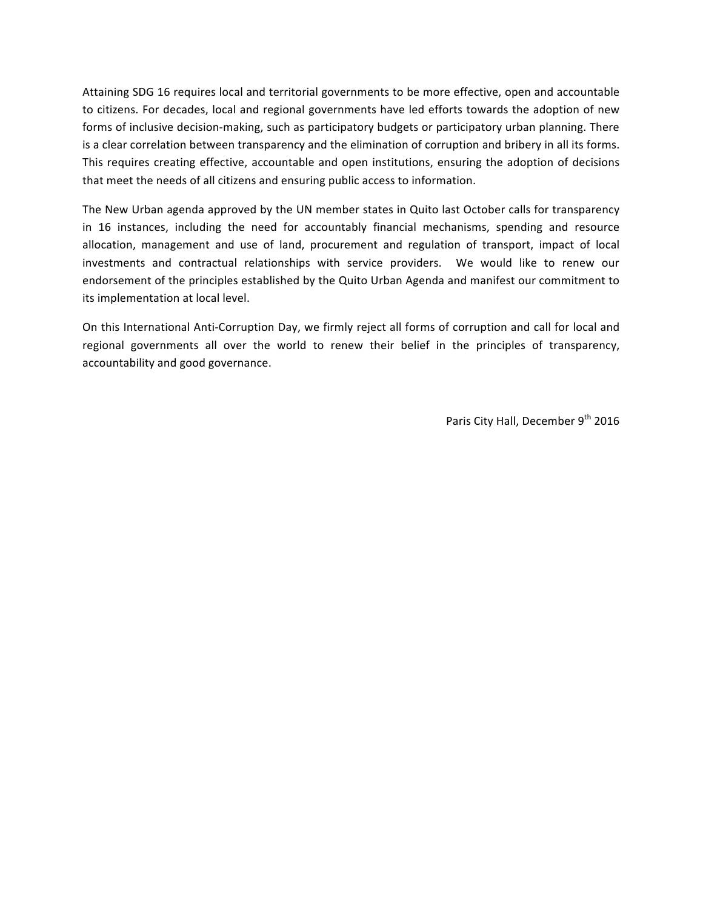Attaining SDG 16 requires local and territorial governments to be more effective, open and accountable to citizens. For decades, local and regional governments have led efforts towards the adoption of new forms of inclusive decision-making, such as participatory budgets or participatory urban planning. There is a clear correlation between transparency and the elimination of corruption and bribery in all its forms. This requires creating effective, accountable and open institutions, ensuring the adoption of decisions that meet the needs of all citizens and ensuring public access to information.

The New Urban agenda approved by the UN member states in Quito last October calls for transparency in 16 instances, including the need for accountably financial mechanisms, spending and resource allocation, management and use of land, procurement and regulation of transport, impact of local investments and contractual relationships with service providers. We would like to renew our endorsement of the principles established by the Quito Urban Agenda and manifest our commitment to its implementation at local level.

On this International Anti-Corruption Day, we firmly reject all forms of corruption and call for local and regional governments all over the world to renew their belief in the principles of transparency, accountability and good governance.

Paris City Hall, December 9<sup>th</sup> 2016